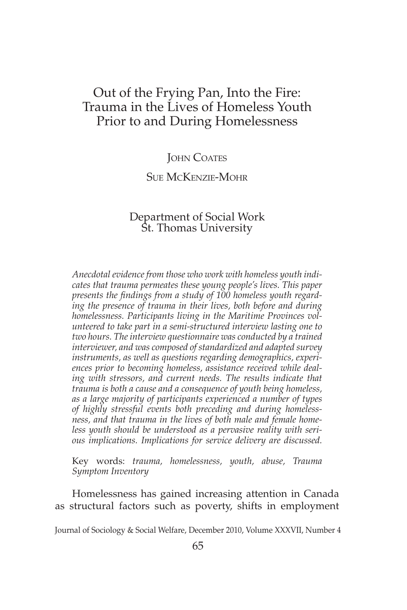## Out of the Frying Pan, Into the Fire: Trauma in the Lives of Homeless Youth Prior to and During Homelessness

#### **JOHN COATES**

#### Sue McKenzie-Mohr

# Department of Social Work St. Thomas University

*Anecdotal evidence from those who work with homeless youth indicates that trauma permeates these young people's lives. This paper presents the findings from a study of 100 homeless youth regarding the presence of trauma in their lives, both before and during homelessness. Participants living in the Maritime Provinces volunteered to take part in a semi-structured interview lasting one to two hours. The interview questionnaire was conducted by a trained interviewer, and was composed of standardized and adapted survey instruments, as well as questions regarding demographics, experiences prior to becoming homeless, assistance received while deal*ing with stressors, and current needs. The results indicate that *trauma is both a cause and a consequence of youth being homeless, as a large majority of participants experienced a number of types of highly stressful events both preceding and during homelessness, and that trauma in the lives of both male and female homeless youth should be understood as a pervasive reality with serious implications. Implications for service delivery are discussed.*

Key words: *trauma, homelessness, youth, abuse, Trauma Symptom Inventory* 

Homelessness has gained increasing attention in Canada as structural factors such as poverty, shifts in employment

Journal of Sociology & Social Welfare, December 2010, Volume XXXVII, Number 4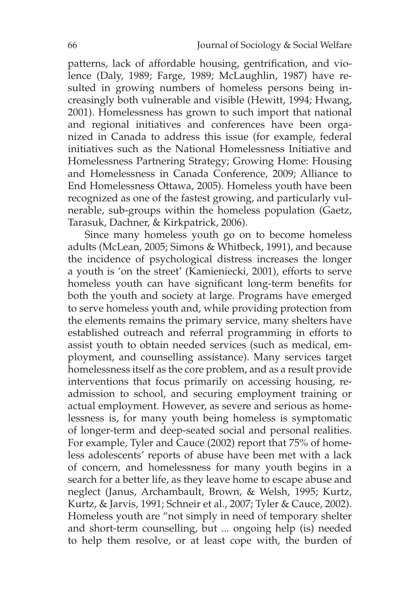patterns, lack of affordable housing, gentrification, and violence (Daly, 1989; Farge, 1989; McLaughlin, 1987) have resulted in growing numbers of homeless persons being increasingly both vulnerable and visible (Hewitt, 1994; Hwang, 2001). Homelessness has grown to such import that national and regional initiatives and conferences have been organized in Canada to address this issue (for example, federal initiatives such as the National Homelessness Initiative and Homelessness Partnering Strategy; Growing Home: Housing and Homelessness in Canada Conference, 2009; Alliance to End Homelessness Ottawa, 2005). Homeless youth have been recognized as one of the fastest growing, and particularly vulnerable, sub-groups within the homeless population (Gaetz, Tarasuk, Dachner, & Kirkpatrick, 2006).

Since many homeless youth go on to become homeless adults (McLean, 2005; Simons & Whitbeck, 1991), and because the incidence of psychological distress increases the longer a youth is 'on the street' (Kamieniecki, 2001), efforts to serve homeless youth can have significant long-term benefits for both the youth and society at large. Programs have emerged to serve homeless youth and, while providing protection from the elements remains the primary service, many shelters have established outreach and referral programming in efforts to assist youth to obtain needed services (such as medical, employment, and counselling assistance). Many services target homelessness itself as the core problem, and as a result provide interventions that focus primarily on accessing housing, readmission to school, and securing employment training or actual employment. However, as severe and serious as homelessness is, for many youth being homeless is symptomatic of longer-term and deep-seated social and personal realities. For example, Tyler and Cauce (2002) report that 75% of homeless adolescents' reports of abuse have been met with a lack of concern, and homelessness for many youth begins in a search for a better life, as they leave home to escape abuse and neglect (Janus, Archambault, Brown, & Welsh, 1995; Kurtz, Kurtz, & Jarvis, 1991; Schneir et al., 2007; Tyler & Cauce, 2002). Homeless youth are "not simply in need of temporary shelter and short-term counselling, but ... ongoing help (is) needed to help them resolve, or at least cope with, the burden of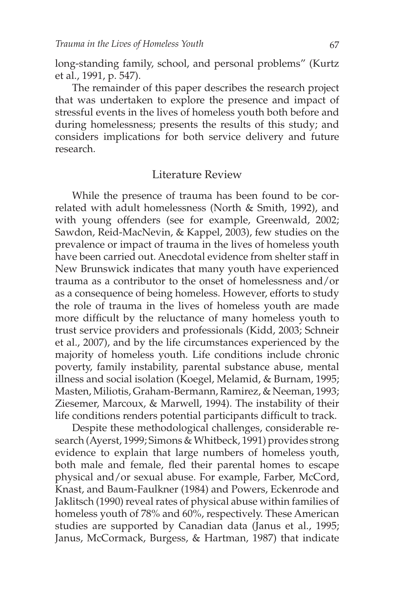long-standing family, school, and personal problems" (Kurtz et al., 1991, p. 547).

The remainder of this paper describes the research project that was undertaken to explore the presence and impact of stressful events in the lives of homeless youth both before and during homelessness; presents the results of this study; and considers implications for both service delivery and future research.

#### Literature Review

While the presence of trauma has been found to be correlated with adult homelessness (North & Smith, 1992), and with young offenders (see for example, Greenwald, 2002; Sawdon, Reid-MacNevin, & Kappel, 2003), few studies on the prevalence or impact of trauma in the lives of homeless youth have been carried out. Anecdotal evidence from shelter staff in New Brunswick indicates that many youth have experienced trauma as a contributor to the onset of homelessness and/or as a consequence of being homeless. However, efforts to study the role of trauma in the lives of homeless youth are made more difficult by the reluctance of many homeless youth to trust service providers and professionals (Kidd, 2003; Schneir et al., 2007), and by the life circumstances experienced by the majority of homeless youth. Life conditions include chronic poverty, family instability, parental substance abuse, mental illness and social isolation (Koegel, Melamid, & Burnam, 1995; Masten, Miliotis, Graham-Bermann, Ramirez, & Neeman, 1993; Ziesemer, Marcoux, & Marwell, 1994). The instability of their life conditions renders potential participants difficult to track.

Despite these methodological challenges, considerable research (Ayerst, 1999; Simons & Whitbeck, 1991) provides strong evidence to explain that large numbers of homeless youth, both male and female, fled their parental homes to escape physical and/or sexual abuse. For example, Farber, McCord, Knast, and Baum-Faulkner (1984) and Powers, Eckenrode and Jaklitsch (1990) reveal rates of physical abuse within families of homeless youth of 78% and 60%, respectively. These American studies are supported by Canadian data (Janus et al., 1995; Janus, McCormack, Burgess, & Hartman, 1987) that indicate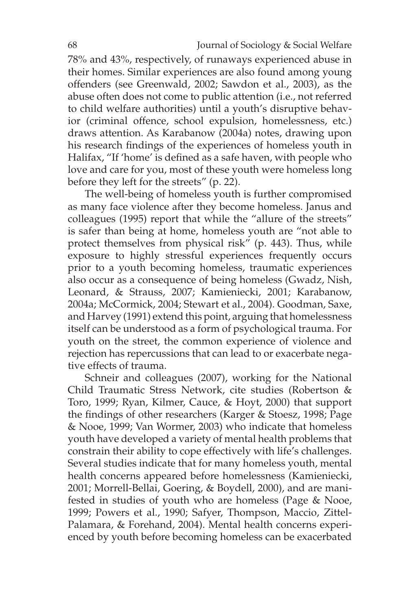78% and 43%, respectively, of runaways experienced abuse in their homes. Similar experiences are also found among young offenders (see Greenwald, 2002; Sawdon et al., 2003), as the abuse often does not come to public attention (i.e., not referred to child welfare authorities) until a youth's disruptive behavior (criminal offence, school expulsion, homelessness, etc.) draws attention. As Karabanow (2004a) notes, drawing upon his research findings of the experiences of homeless youth in Halifax, "If 'home' is defined as a safe haven, with people who love and care for you, most of these youth were homeless long before they left for the streets" (p. 22).

The well-being of homeless youth is further compromised as many face violence after they become homeless. Janus and colleagues (1995) report that while the "allure of the streets" is safer than being at home, homeless youth are "not able to protect themselves from physical risk" (p. 443). Thus, while exposure to highly stressful experiences frequently occurs prior to a youth becoming homeless, traumatic experiences also occur as a consequence of being homeless (Gwadz, Nish, Leonard, & Strauss, 2007; Kamieniecki, 2001; Karabanow, 2004a; McCormick, 2004; Stewart et al., 2004). Goodman, Saxe, and Harvey (1991) extend this point, arguing that homelessness itself can be understood as a form of psychological trauma. For youth on the street, the common experience of violence and rejection has repercussions that can lead to or exacerbate negative effects of trauma.

Schneir and colleagues (2007), working for the National Child Traumatic Stress Network, cite studies (Robertson & Toro, 1999; Ryan, Kilmer, Cauce, & Hoyt, 2000) that support the findings of other researchers (Karger & Stoesz, 1998; Page & Nooe, 1999; Van Wormer, 2003) who indicate that homeless youth have developed a variety of mental health problems that constrain their ability to cope effectively with life's challenges. Several studies indicate that for many homeless youth, mental health concerns appeared before homelessness (Kamieniecki, 2001; Morrell-Bellai, Goering, & Boydell, 2000), and are manifested in studies of youth who are homeless (Page & Nooe, 1999; Powers et al., 1990; Safyer, Thompson, Maccio, Zittel-Palamara, & Forehand, 2004). Mental health concerns experienced by youth before becoming homeless can be exacerbated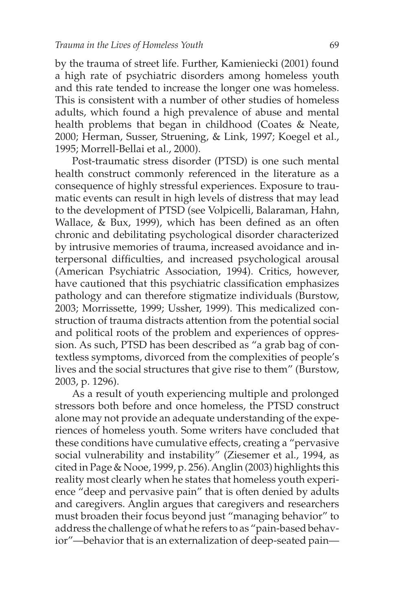by the trauma of street life. Further, Kamieniecki (2001) found a high rate of psychiatric disorders among homeless youth and this rate tended to increase the longer one was homeless. This is consistent with a number of other studies of homeless adults, which found a high prevalence of abuse and mental health problems that began in childhood (Coates & Neate, 2000; Herman, Susser, Struening, & Link, 1997; Koegel et al., 1995; Morrell-Bellai et al., 2000).

Post-traumatic stress disorder (PTSD) is one such mental health construct commonly referenced in the literature as a consequence of highly stressful experiences. Exposure to traumatic events can result in high levels of distress that may lead to the development of PTSD (see Volpicelli, Balaraman, Hahn, Wallace, & Bux, 1999), which has been defined as an often chronic and debilitating psychological disorder characterized by intrusive memories of trauma, increased avoidance and interpersonal difficulties, and increased psychological arousal (American Psychiatric Association, 1994). Critics, however, have cautioned that this psychiatric classification emphasizes pathology and can therefore stigmatize individuals (Burstow, 2003; Morrissette, 1999; Ussher, 1999). This medicalized construction of trauma distracts attention from the potential social and political roots of the problem and experiences of oppression. As such, PTSD has been described as "a grab bag of contextless symptoms, divorced from the complexities of people's lives and the social structures that give rise to them" (Burstow, 2003, p. 1296).

As a result of youth experiencing multiple and prolonged stressors both before and once homeless, the PTSD construct alone may not provide an adequate understanding of the experiences of homeless youth. Some writers have concluded that these conditions have cumulative effects, creating a "pervasive social vulnerability and instability" (Ziesemer et al., 1994, as cited in Page & Nooe, 1999, p. 256). Anglin (2003) highlights this reality most clearly when he states that homeless youth experience "deep and pervasive pain" that is often denied by adults and caregivers. Anglin argues that caregivers and researchers must broaden their focus beyond just "managing behavior" to address the challenge of what he refers to as "pain-based behavior"—behavior that is an externalization of deep-seated pain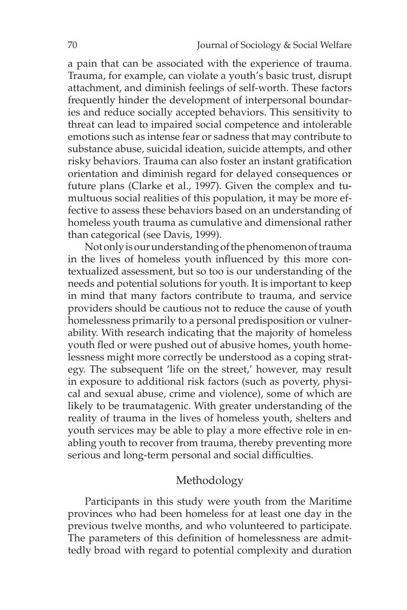a pain that can be associated with the experience of trauma. Trauma, for example, can violate a youth's basic trust, disrupt attachment, and diminish feelings of self-worth. These factors frequently hinder the development of interpersonal boundaries and reduce socially accepted behaviors. This sensitivity to threat can lead to impaired social competence and intolerable emotions such as intense fear or sadness that may contribute to substance abuse, suicidal ideation, suicide attempts, and other risky behaviors. Trauma can also foster an instant gratification orientation and diminish regard for delayed consequences or future plans (Clarke et al., 1997). Given the complex and tumultuous social realities of this population, it may be more effective to assess these behaviors based on an understanding of homeless youth trauma as cumulative and dimensional rather than categorical (see Davis, 1999).

Not only is our understanding of the phenomenon of trauma in the lives of homeless youth influenced by this more contextualized assessment, but so too is our understanding of the needs and potential solutions for youth. It is important to keep in mind that many factors contribute to trauma, and service providers should be cautious not to reduce the cause of youth homelessness primarily to a personal predisposition or vulnerability. With research indicating that the majority of homeless youth fled or were pushed out of abusive homes, youth homelessness might more correctly be understood as a coping strategy. The subsequent 'life on the street,' however, may result in exposure to additional risk factors (such as poverty, physical and sexual abuse, crime and violence), some of which are likely to be traumatagenic. With greater understanding of the reality of trauma in the lives of homeless youth, shelters and youth services may be able to play a more effective role in enabling youth to recover from trauma, thereby preventing more serious and long-term personal and social difficulties.

## Methodology

Participants in this study were youth from the Maritime provinces who had been homeless for at least one day in the previous twelve months, and who volunteered to participate. The parameters of this definition of homelessness are admittedly broad with regard to potential complexity and duration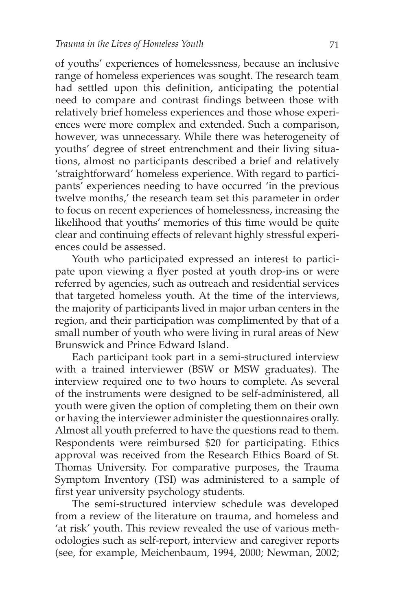of youths' experiences of homelessness, because an inclusive range of homeless experiences was sought. The research team had settled upon this definition, anticipating the potential need to compare and contrast findings between those with relatively brief homeless experiences and those whose experiences were more complex and extended. Such a comparison, however, was unnecessary. While there was heterogeneity of youths' degree of street entrenchment and their living situations, almost no participants described a brief and relatively 'straightforward' homeless experience. With regard to participants' experiences needing to have occurred 'in the previous twelve months,' the research team set this parameter in order to focus on recent experiences of homelessness, increasing the likelihood that youths' memories of this time would be quite clear and continuing effects of relevant highly stressful experiences could be assessed.

Youth who participated expressed an interest to participate upon viewing a flyer posted at youth drop-ins or were referred by agencies, such as outreach and residential services that targeted homeless youth. At the time of the interviews, the majority of participants lived in major urban centers in the region, and their participation was complimented by that of a small number of youth who were living in rural areas of New Brunswick and Prince Edward Island.

Each participant took part in a semi-structured interview with a trained interviewer (BSW or MSW graduates). The interview required one to two hours to complete. As several of the instruments were designed to be self-administered, all youth were given the option of completing them on their own or having the interviewer administer the questionnaires orally. Almost all youth preferred to have the questions read to them. Respondents were reimbursed \$20 for participating. Ethics approval was received from the Research Ethics Board of St. Thomas University. For comparative purposes, the Trauma Symptom Inventory (TSI) was administered to a sample of first year university psychology students.

The semi-structured interview schedule was developed from a review of the literature on trauma, and homeless and 'at risk' youth. This review revealed the use of various methodologies such as self-report, interview and caregiver reports (see, for example, Meichenbaum, 1994, 2000; Newman, 2002;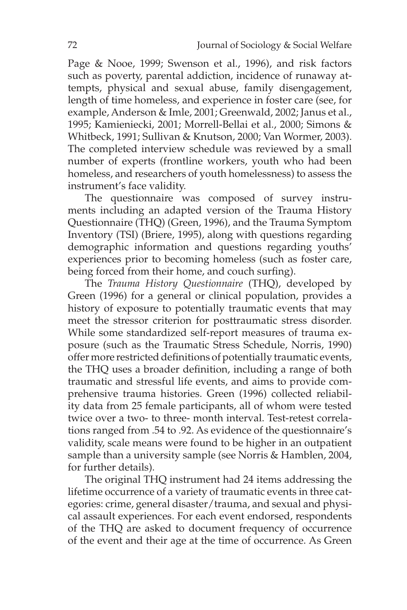Page & Nooe, 1999; Swenson et al., 1996), and risk factors such as poverty, parental addiction, incidence of runaway attempts, physical and sexual abuse, family disengagement, length of time homeless, and experience in foster care (see, for example, Anderson & Imle, 2001; Greenwald, 2002; Janus et al., 1995; Kamieniecki, 2001; Morrell-Bellai et al., 2000; Simons & Whitbeck, 1991; Sullivan & Knutson, 2000; Van Wormer, 2003). The completed interview schedule was reviewed by a small number of experts (frontline workers, youth who had been homeless, and researchers of youth homelessness) to assess the instrument's face validity.

The questionnaire was composed of survey instruments including an adapted version of the Trauma History Questionnaire (THQ) (Green, 1996), and the Trauma Symptom Inventory (TSI) (Briere, 1995), along with questions regarding demographic information and questions regarding youths' experiences prior to becoming homeless (such as foster care, being forced from their home, and couch surfing).

The *Trauma History Questionnaire* (THQ), developed by Green (1996) for a general or clinical population, provides a history of exposure to potentially traumatic events that may meet the stressor criterion for posttraumatic stress disorder. While some standardized self-report measures of trauma exposure (such as the Traumatic Stress Schedule, Norris, 1990) offer more restricted definitions of potentially traumatic events, the THQ uses a broader definition, including a range of both traumatic and stressful life events, and aims to provide comprehensive trauma histories. Green (1996) collected reliability data from 25 female participants, all of whom were tested twice over a two- to three- month interval. Test-retest correlations ranged from .54 to .92. As evidence of the questionnaire's validity, scale means were found to be higher in an outpatient sample than a university sample (see Norris & Hamblen, 2004, for further details).

The original THQ instrument had 24 items addressing the lifetime occurrence of a variety of traumatic events in three categories: crime, general disaster/trauma, and sexual and physical assault experiences. For each event endorsed, respondents of the THQ are asked to document frequency of occurrence of the event and their age at the time of occurrence. As Green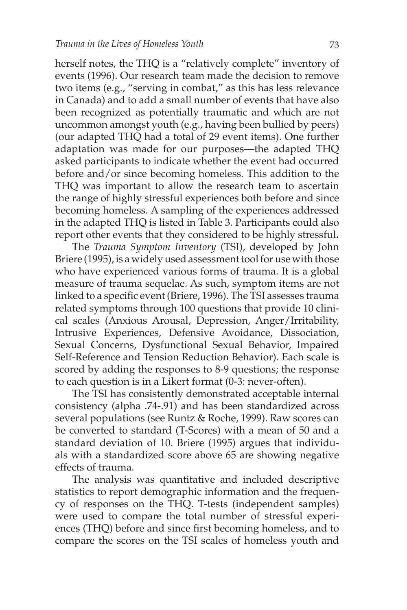herself notes, the THQ is a "relatively complete" inventory of events (1996). Our research team made the decision to remove two items (e.g., "serving in combat," as this has less relevance in Canada) and to add a small number of events that have also been recognized as potentially traumatic and which are not uncommon amongst youth (e.g., having been bullied by peers) (our adapted THQ had a total of 29 event items). One further adaptation was made for our purposes—the adapted THQ asked participants to indicate whether the event had occurred before and/or since becoming homeless. This addition to the THQ was important to allow the research team to ascertain the range of highly stressful experiences both before and since becoming homeless. A sampling of the experiences addressed in the adapted THQ is listed in Table 3. Participants could also report other events that they considered to be highly stressful**.**

The *Trauma Symptom Inventory* (TSI), developed by John Briere (1995), is a widely used assessment tool for use with those who have experienced various forms of trauma. It is a global measure of trauma sequelae. As such, symptom items are not linked to a specific event (Briere, 1996). The TSI assesses trauma related symptoms through 100 questions that provide 10 clinical scales (Anxious Arousal, Depression, Anger/Irritability, Intrusive Experiences, Defensive Avoidance, Dissociation, Sexual Concerns, Dysfunctional Sexual Behavior, Impaired Self-Reference and Tension Reduction Behavior). Each scale is scored by adding the responses to 8-9 questions; the response to each question is in a Likert format (0-3: never-often).

The TSI has consistently demonstrated acceptable internal consistency (alpha .74-.91) and has been standardized across several populations (see Runtz & Roche, 1999). Raw scores can be converted to standard (T-Scores) with a mean of 50 and a standard deviation of 10. Briere (1995) argues that individuals with a standardized score above 65 are showing negative effects of trauma.

The analysis was quantitative and included descriptive statistics to report demographic information and the frequency of responses on the THQ. T-tests (independent samples) were used to compare the total number of stressful experiences (THQ) before and since first becoming homeless, and to compare the scores on the TSI scales of homeless youth and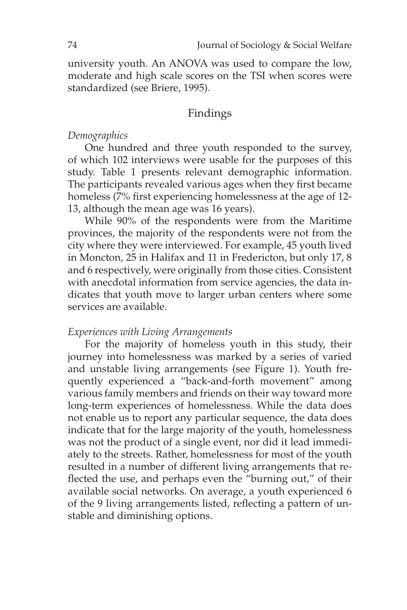university youth. An ANOVA was used to compare the low, moderate and high scale scores on the TSI when scores were standardized (see Briere, 1995).

## Findings

#### *Demographics*

One hundred and three youth responded to the survey, of which 102 interviews were usable for the purposes of this study. Table 1 presents relevant demographic information. The participants revealed various ages when they first became homeless (7% first experiencing homelessness at the age of 12- 13, although the mean age was 16 years).

While 90% of the respondents were from the Maritime provinces, the majority of the respondents were not from the city where they were interviewed. For example, 45 youth lived in Moncton, 25 in Halifax and 11 in Fredericton, but only 17, 8 and 6 respectively, were originally from those cities. Consistent with anecdotal information from service agencies, the data indicates that youth move to larger urban centers where some services are available.

#### *Experiences with Living Arrangements*

For the majority of homeless youth in this study, their journey into homelessness was marked by a series of varied and unstable living arrangements (see Figure 1). Youth frequently experienced a "back-and-forth movement" among various family members and friends on their way toward more long-term experiences of homelessness. While the data does not enable us to report any particular sequence, the data does indicate that for the large majority of the youth, homelessness was not the product of a single event, nor did it lead immediately to the streets. Rather, homelessness for most of the youth resulted in a number of different living arrangements that reflected the use, and perhaps even the "burning out," of their available social networks. On average, a youth experienced 6 of the 9 living arrangements listed, reflecting a pattern of unstable and diminishing options.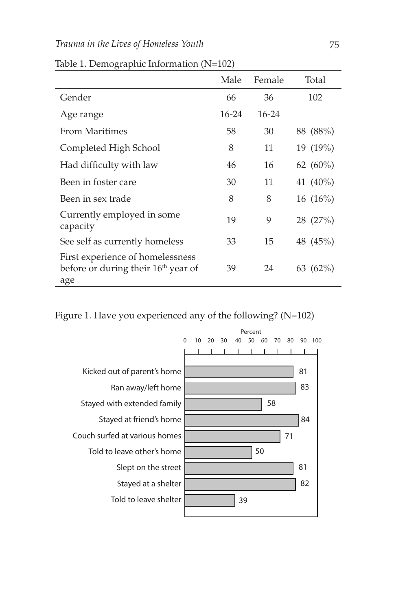|                                                                                            | Male      | Female    | Total       |
|--------------------------------------------------------------------------------------------|-----------|-----------|-------------|
| Gender                                                                                     | 66        | 36        | 102         |
| Age range                                                                                  | $16 - 24$ | $16 - 24$ |             |
| From Maritimes                                                                             | 58        | 30        | 88 (88%)    |
| Completed High School                                                                      | 8         | 11        | 19 (19%)    |
| Had difficulty with law                                                                    | 46        | 16        | 62 $(60\%)$ |
| Been in foster care                                                                        | 30        | 11        | 41 (40%)    |
| Been in sex trade                                                                          | 8         | 8         | $16(16\%)$  |
| Currently employed in some<br>capacity                                                     | 19        | 9         | 28 (27%)    |
| See self as currently homeless                                                             | 33        | 15        | 48 (45%)    |
| First experience of homelessness<br>before or during their 16 <sup>th</sup> year of<br>age | 39        | 24        | $63(62\%)$  |

Table 1. Demographic Information (N=102)

Figure 1. Have you experienced any of the following? (N=102)

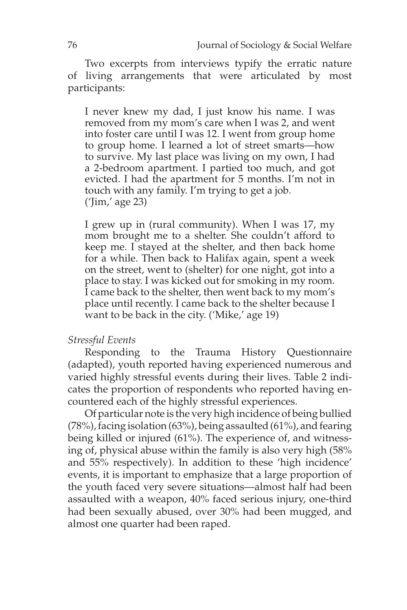Two excerpts from interviews typify the erratic nature of living arrangements that were articulated by most participants:

I never knew my dad, I just know his name. I was removed from my mom's care when I was 2, and went into foster care until I was 12. I went from group home to group home. I learned a lot of street smarts—how to survive. My last place was living on my own, I had a 2-bedroom apartment. I partied too much, and got evicted. I had the apartment for 5 months. I'm not in touch with any family. I'm trying to get a job. ('Jim,' age 23)

I grew up in (rural community). When I was 17, my mom brought me to a shelter. She couldn't afford to keep me. I stayed at the shelter, and then back home for a while. Then back to Halifax again, spent a week on the street, went to (shelter) for one night, got into a place to stay. I was kicked out for smoking in my room. I came back to the shelter, then went back to my mom's place until recently. I came back to the shelter because I want to be back in the city. ('Mike,' age 19)

#### *Stressful Events*

Responding to the Trauma History Questionnaire (adapted), youth reported having experienced numerous and varied highly stressful events during their lives. Table 2 indicates the proportion of respondents who reported having encountered each of the highly stressful experiences.

Of particular note is the very high incidence of being bullied (78%), facing isolation (63%), being assaulted (61%), and fearing being killed or injured (61%). The experience of, and witnessing of, physical abuse within the family is also very high (58% and 55% respectively). In addition to these 'high incidence' events, it is important to emphasize that a large proportion of the youth faced very severe situations—almost half had been assaulted with a weapon, 40% faced serious injury, one-third had been sexually abused, over 30% had been mugged, and almost one quarter had been raped.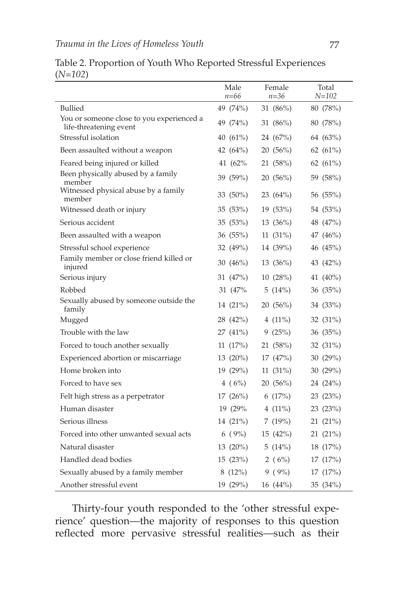|                                                                     | Male<br>$n = 66$ | Female<br>$n = 36$ | Total<br>$N = 102$ |
|---------------------------------------------------------------------|------------------|--------------------|--------------------|
| Bullied                                                             | 49 (74%)         | 31 (86%)           | 80 (78%)           |
| You or someone close to you experienced a<br>life-threatening event | 49 (74%)         | 31 (86%)           | 80 (78%)           |
| Stressful isolation                                                 | 40 $(61\%)$      | 24 (67%)           | 64 (63%)           |
| Been assaulted without a weapon                                     | 42 (64%)         | 20(56%)            | 62 $(61\%)$        |
| Feared being injured or killed                                      | 41 (62%)         | 21 (58%)           | 62 $(61\%)$        |
| Been physically abused by a family<br>member                        | 39 (59%)         | 20(56%)            | 59 (58%)           |
| Witnessed physical abuse by a family<br>member                      | 33 $(50\%)$      | 23 $(64\%)$        | 56 (55%)           |
| Witnessed death or injury                                           | 35 (53%)         | 19 (53%)           | 54 (53%)           |
| Serious accident                                                    | 35 (53%)         | 13 (36%)           | 48 (47%)           |
| Been assaulted with a weapon                                        | 36 (55%)         | $11(31\%)$         | 47 (46%)           |
| Stressful school experience                                         | 32 (49%)         | 14 (39%)           | 46 (45%)           |
| Family member or close friend killed or<br>injured                  | 30 $(46\%)$      | 13(36%)            | 43 (42%)           |
| Serious injury                                                      | 31 (47%)         | 10(28%)            | 41 (40%)           |
| Robbed                                                              | 31 (47%)         | 5 $(14%)$          | 36 (35%)           |
| Sexually abused by someone outside the<br>family                    | 14 (21%)         | 20(56%)            | 34 (33%)           |
| Mugged                                                              | 28 (42%)         | 4 $(11\%)$         | 32 (31%)           |
| Trouble with the law                                                | 27 (41%)         | 9(25%)             | 36 (35%)           |
| Forced to touch another sexually                                    | 11(17%)          | 21 (58%)           | 32 (31%)           |
| Experienced abortion or miscarriage                                 | $13(20\%)$       | 17 (47%)           | 30 (29%)           |
| Home broken into                                                    | 19 (29%)         | $11(31\%)$         | 30 (29%)           |
| Forced to have sex                                                  | 4(6%)            | 20(56%)            | 24 (24%)           |
| Felt high stress as a perpetrator                                   | 17(26%)          | 6(17%)             | 23 (23%)           |
| Human disaster                                                      | 19 (29%)         | 4 $(11\%)$         | 23 (23%)           |
| Serious illness                                                     | 14 (21%)         | 7 (19%)            | 21 (21%)           |
| Forced into other unwanted sexual acts                              | 6(9%)            | 15 (42%)           | 21 (21%)           |
| Natural disaster                                                    | $13(20\%)$       | 5(14%)             | 18 (17%)           |
| Handled dead bodies                                                 | 15(23%)          | 2 ( $6\%$ )        | 17(17%)            |
| Sexually abused by a family member                                  | 8(12%)           | $9(9\%)$           | 17 (17%)           |
| Another stressful event                                             | 19 (29%)         | 16 (44%)           | 35 (34%)           |

Table 2. Proportion of Youth Who Reported Stressful Experiences (*N=102*)

Thirty-four youth responded to the 'other stressful experience' question—the majority of responses to this question reflected more pervasive stressful realities—such as their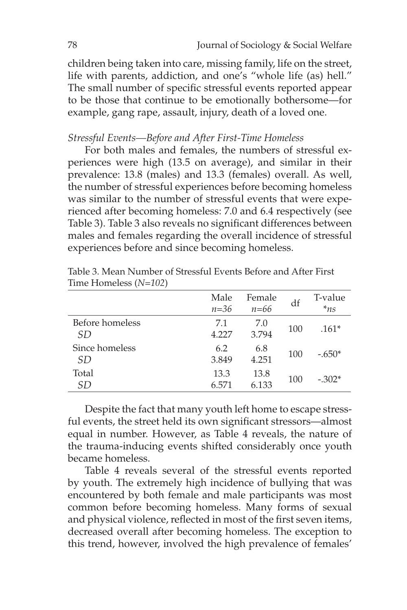children being taken into care, missing family, life on the street, life with parents, addiction, and one's "whole life (as) hell." The small number of specific stressful events reported appear to be those that continue to be emotionally bothersome—for example, gang rape, assault, injury, death of a loved one.

## *Stressful Events—Before and After First-Time Homeless*

For both males and females, the numbers of stressful experiences were high (13.5 on average), and similar in their prevalence: 13.8 (males) and 13.3 (females) overall. As well, the number of stressful experiences before becoming homeless was similar to the number of stressful events that were experienced after becoming homeless: 7.0 and 6.4 respectively (see Table 3). Table 3 also reveals no significant differences between males and females regarding the overall incidence of stressful experiences before and since becoming homeless.

|                        | Male<br>$n = 36$ | Female<br>$n=66$ | df  | T-value<br>$*_{ns}$ |
|------------------------|------------------|------------------|-----|---------------------|
| Before homeless<br>SD. | 7.1<br>4.227     | 7.0<br>3.794     | 100 | $.161*$             |
| Since homeless<br>SD   | 6.2<br>3.849     | 6.8<br>4.251     | 100 | $-.650*$            |
| Total<br>SD            | 13.3<br>6.571    | 13.8<br>6.133    | 100 | $-.302*$            |

Table 3. Mean Number of Stressful Events Before and After First Time Homeless (*N=102*)

Despite the fact that many youth left home to escape stressful events, the street held its own significant stressors—almost equal in number. However, as Table 4 reveals, the nature of the trauma-inducing events shifted considerably once youth became homeless.

Table 4 reveals several of the stressful events reported by youth. The extremely high incidence of bullying that was encountered by both female and male participants was most common before becoming homeless. Many forms of sexual and physical violence, reflected in most of the first seven items, decreased overall after becoming homeless. The exception to this trend, however, involved the high prevalence of females'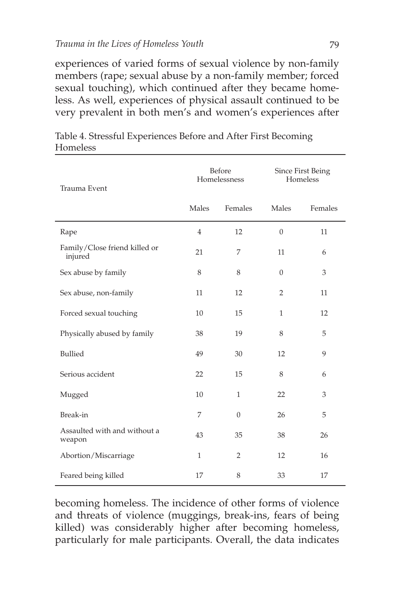experiences of varied forms of sexual violence by non-family members (rape; sexual abuse by a non-family member; forced sexual touching), which continued after they became homeless. As well, experiences of physical assault continued to be very prevalent in both men's and women's experiences after

| Trauma Event                             |                | Before<br>Homelessness | Since First Being<br>Homeless |         |
|------------------------------------------|----------------|------------------------|-------------------------------|---------|
|                                          | Males          | Females                | Males                         | Females |
| Rape                                     | $\overline{4}$ | 12                     | $\overline{0}$                | 11      |
| Family/Close friend killed or<br>injured | 21             | 7                      | 11                            | 6       |
| Sex abuse by family                      | 8              | 8                      | $\theta$                      | 3       |
| Sex abuse, non-family                    | 11             | 12                     | $\overline{2}$                | 11      |
| Forced sexual touching                   | 10             | 15                     | $\mathbf{1}$                  | 12      |
| Physically abused by family              | 38             | 19                     | 8                             | 5       |
| Bullied                                  | 49             | 30                     | 12                            | 9       |
| Serious accident                         | 22             | 15                     | 8                             | 6       |
| Mugged                                   | 10             | $\mathbf{1}$           | 22                            | 3       |
| Break-in                                 | 7              | $\Omega$               | 26                            | 5       |
| Assaulted with and without a<br>weapon   | 43             | 35                     | 38                            | 26      |
| Abortion/Miscarriage                     | $\mathbf{1}$   | $\overline{2}$         | 12                            | 16      |
| Feared being killed                      | 17             | 8                      | 33                            | 17      |

Table 4. Stressful Experiences Before and After First Becoming Homeless

becoming homeless. The incidence of other forms of violence and threats of violence (muggings, break-ins, fears of being killed) was considerably higher after becoming homeless, particularly for male participants. Overall, the data indicates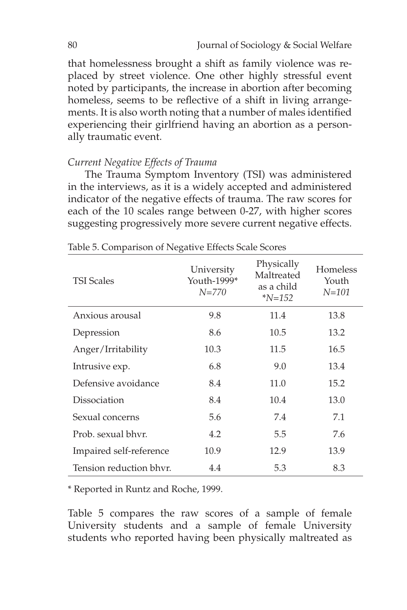that homelessness brought a shift as family violence was replaced by street violence. One other highly stressful event noted by participants, the increase in abortion after becoming homeless, seems to be reflective of a shift in living arrangements. It is also worth noting that a number of males identified experiencing their girlfriend having an abortion as a personally traumatic event.

#### *Current Negative Effects of Trauma*

The Trauma Symptom Inventory (TSI) was administered in the interviews, as it is a widely accepted and administered indicator of the negative effects of trauma. The raw scores for each of the 10 scales range between 0-27, with higher scores suggesting progressively more severe current negative effects.

| <b>TSI Scales</b>       | University<br>Youth-1999*<br>$N = 770$ | Physically<br>Maltreated<br>as a child<br>$N = 152$ | Homeless<br>Youth<br>$N = 101$ |
|-------------------------|----------------------------------------|-----------------------------------------------------|--------------------------------|
| Anxious arousal         | 9.8                                    | 11.4                                                | 13.8                           |
| Depression              | 8.6                                    | 10.5                                                | 13.2                           |
| Anger/Irritability      | 10.3                                   | 11.5                                                | 16.5                           |
| Intrusive exp.          | 6.8                                    | 9.0                                                 | 13.4                           |
| Defensive avoidance     | 8.4                                    | 11.0                                                | 15.2                           |
| Dissociation            | 8.4                                    | 10.4                                                | 13.0                           |
| Sexual concerns         | 5.6                                    | 7.4                                                 | 7.1                            |
| Prob. sexual bhyr.      | 4.2                                    | 5.5                                                 | 7.6                            |
| Impaired self-reference | 10.9                                   | 12.9                                                | 13.9                           |
| Tension reduction bhyr. | 4.4                                    | 5.3                                                 | 8.3                            |

Table 5. Comparison of Negative Effects Scale Scores

\* Reported in Runtz and Roche, 1999.

Table 5 compares the raw scores of a sample of female University students and a sample of female University students who reported having been physically maltreated as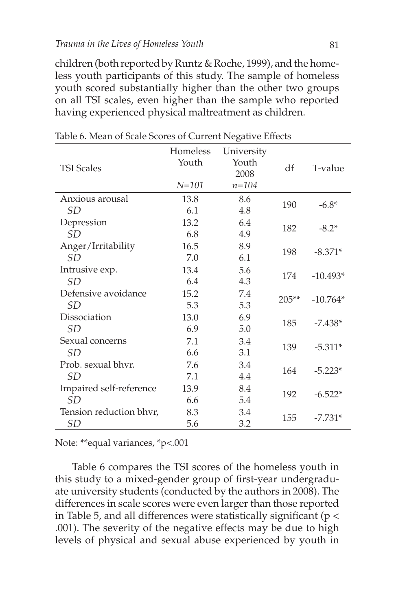children (both reported by Runtz & Roche, 1999), and the homeless youth participants of this study. The sample of homeless youth scored substantially higher than the other two groups on all TSI scales, even higher than the sample who reported having experienced physical maltreatment as children.

| <b>TSI Scales</b>       | Homeless<br>Youth<br>$N = 101$ | University<br>Youth<br>2008<br>$n = 104$ | df      | T-value    |
|-------------------------|--------------------------------|------------------------------------------|---------|------------|
| Anxious arousal         | 13.8                           | 8.6                                      | 190     | $-6.8*$    |
| SD                      | 6.1                            | 4.8                                      |         |            |
| Depression              | 13.2                           | 6.4                                      | 182     |            |
| SD                      | 6.8                            | 4.9                                      |         | $-8.2*$    |
| Anger/Irritability      | 16.5                           | 8.9                                      | 198     |            |
| SD                      | 7.0                            | 6.1                                      |         | $-8.371*$  |
| Intrusive exp.          | 13.4                           | 5.6                                      | 174     | $-10.493*$ |
| <i>SD</i>               | 6.4                            | 4.3                                      |         |            |
| Defensive avoidance     | 15.2                           | 7.4                                      | $205**$ | $-10.764*$ |
| SD                      | 5.3                            | 5.3                                      |         |            |
| Dissociation            | 13.0                           | 6.9                                      | 185     |            |
| <i>SD</i>               | 6.9                            | 5.0                                      |         | $-7.438*$  |
| Sexual concerns         | 7.1                            | 3.4                                      | 139     | $-5.311*$  |
| <i>SD</i>               | 6.6                            | 3.1                                      |         |            |
| Prob. sexual bhyr.      | 7.6                            | 3.4                                      | 164     | $-5.223*$  |
| <i>SD</i>               | 7.1                            | 4.4                                      |         |            |
| Impaired self-reference | 13.9                           | 8.4                                      | 192     |            |
| SD                      | 6.6                            | 5.4                                      |         | $-6.522*$  |
| Tension reduction bhyr, | 8.3                            | 3.4                                      |         | $-7.731*$  |
| <b>SD</b>               | 5.6                            | 3.2                                      | 155     |            |

Table 6. Mean of Scale Scores of Current Negative Effects

Note: \*\*equal variances, \*p<.001

Table 6 compares the TSI scores of the homeless youth in this study to a mixed-gender group of first-year undergraduate university students (conducted by the authors in 2008). The differences in scale scores were even larger than those reported in Table 5, and all differences were statistically significant (p < .001). The severity of the negative effects may be due to high levels of physical and sexual abuse experienced by youth in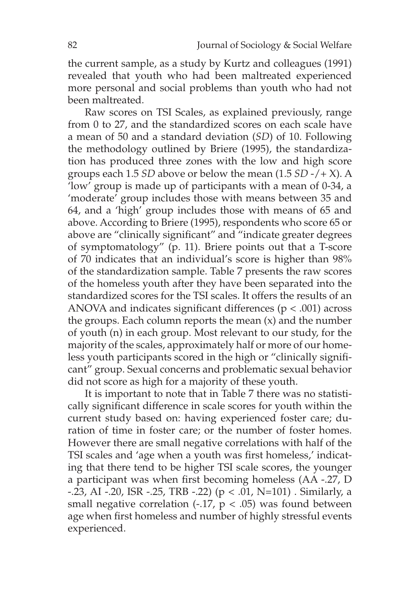the current sample, as a study by Kurtz and colleagues (1991) revealed that youth who had been maltreated experienced more personal and social problems than youth who had not been maltreated.

Raw scores on TSI Scales, as explained previously, range from 0 to 27, and the standardized scores on each scale have a mean of 50 and a standard deviation (*SD*) of 10. Following the methodology outlined by Briere (1995), the standardization has produced three zones with the low and high score groups each 1.5 *SD* above or below the mean (1.5 *SD* -/+ X). A 'low' group is made up of participants with a mean of 0-34, a 'moderate' group includes those with means between 35 and 64, and a 'high' group includes those with means of 65 and above. According to Briere (1995), respondents who score 65 or above are "clinically significant" and "indicate greater degrees of symptomatology" (p. 11). Briere points out that a T-score of 70 indicates that an individual's score is higher than 98% of the standardization sample. Table 7 presents the raw scores of the homeless youth after they have been separated into the standardized scores for the TSI scales. It offers the results of an ANOVA and indicates significant differences ( $p < .001$ ) across the groups. Each column reports the mean  $(x)$  and the number of youth (n) in each group. Most relevant to our study, for the majority of the scales, approximately half or more of our homeless youth participants scored in the high or "clinically significant" group. Sexual concerns and problematic sexual behavior did not score as high for a majority of these youth.

It is important to note that in Table 7 there was no statistically significant difference in scale scores for youth within the current study based on: having experienced foster care; duration of time in foster care; or the number of foster homes. However there are small negative correlations with half of the TSI scales and 'age when a youth was first homeless,' indicating that there tend to be higher TSI scale scores, the younger a participant was when first becoming homeless (AA -.27, D  $-23$ , AI  $-20$ , ISR  $-25$ , TRB  $-22$ ) ( $p < 0.01$ , N=101). Similarly, a small negative correlation (-.17,  $p < .05$ ) was found between age when first homeless and number of highly stressful events experienced.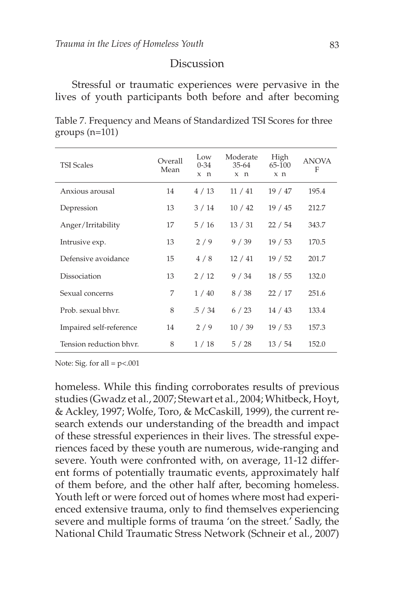#### **Discussion**

Stressful or traumatic experiences were pervasive in the lives of youth participants both before and after becoming

| <b>TSI Scales</b>       | Overall<br>Mean | Low<br>$0 - 34$<br>x n | Moderate<br>$35 - 64$<br>x n | High<br>65-100<br>x <sub>n</sub> | <b>ANOVA</b><br>F |
|-------------------------|-----------------|------------------------|------------------------------|----------------------------------|-------------------|
| Anxious arousal         | 14              | 4/13                   | 11/41                        | 19 / 47                          | 195.4             |
| Depression              | 13              | 3/14                   | 10/42                        | 19/45                            | 212.7             |
| Anger/Irritability      | 17              | 5/16                   | 13/31                        | 22/54                            | 343.7             |
| Intrusive exp.          | 13              | 2/9                    | 9/39                         | 19/53                            | 170.5             |
| Defensive avoidance     | 15              | 4/8                    | 12/41                        | 19/52                            | 201.7             |
| Dissociation            | 13              | 2/12                   | 9/34                         | 18 / 55                          | 132.0             |
| Sexual concerns         | 7               | 1/40                   | 8/38                         | 22/17                            | 251.6             |
| Prob. sexual bhyr.      | 8               | .5 / 34                | 6/23                         | 14/43                            | 133.4             |
| Impaired self-reference | 14              | 2/9                    | 10/39                        | 19/53                            | 157.3             |
| Tension reduction bhyr. | 8               | 1/18                   | 5/28                         | 13 / 54                          | 152.0             |

Table 7. Frequency and Means of Standardized TSI Scores for three groups (n=101)

Note: Sig. for all  $= p<.001$ 

homeless. While this finding corroborates results of previous studies (Gwadz et al., 2007; Stewart et al., 2004; Whitbeck, Hoyt, & Ackley, 1997; Wolfe, Toro, & McCaskill, 1999), the current research extends our understanding of the breadth and impact of these stressful experiences in their lives. The stressful experiences faced by these youth are numerous, wide-ranging and severe. Youth were confronted with, on average, 11-12 different forms of potentially traumatic events, approximately half of them before, and the other half after, becoming homeless. Youth left or were forced out of homes where most had experienced extensive trauma, only to find themselves experiencing severe and multiple forms of trauma 'on the street.' Sadly, the National Child Traumatic Stress Network (Schneir et al., 2007)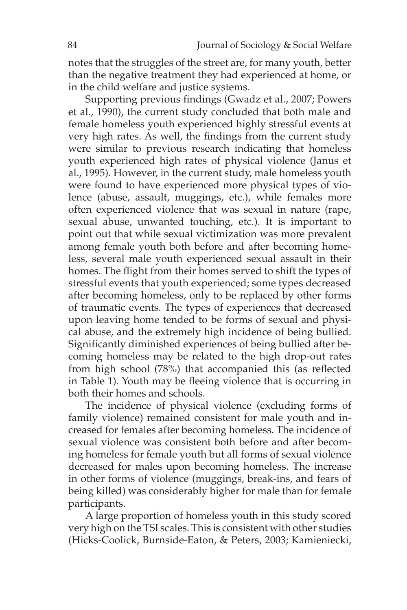notes that the struggles of the street are, for many youth, better than the negative treatment they had experienced at home, or in the child welfare and justice systems.

Supporting previous findings (Gwadz et al., 2007; Powers et al., 1990), the current study concluded that both male and female homeless youth experienced highly stressful events at very high rates. As well, the findings from the current study were similar to previous research indicating that homeless youth experienced high rates of physical violence (Janus et al., 1995). However, in the current study, male homeless youth were found to have experienced more physical types of violence (abuse, assault, muggings, etc.), while females more often experienced violence that was sexual in nature (rape, sexual abuse, unwanted touching, etc.). It is important to point out that while sexual victimization was more prevalent among female youth both before and after becoming homeless, several male youth experienced sexual assault in their homes. The flight from their homes served to shift the types of stressful events that youth experienced; some types decreased after becoming homeless, only to be replaced by other forms of traumatic events. The types of experiences that decreased upon leaving home tended to be forms of sexual and physical abuse, and the extremely high incidence of being bullied. Significantly diminished experiences of being bullied after becoming homeless may be related to the high drop-out rates from high school (78%) that accompanied this (as reflected in Table 1). Youth may be fleeing violence that is occurring in both their homes and schools.

The incidence of physical violence (excluding forms of family violence) remained consistent for male youth and increased for females after becoming homeless. The incidence of sexual violence was consistent both before and after becoming homeless for female youth but all forms of sexual violence decreased for males upon becoming homeless. The increase in other forms of violence (muggings, break-ins, and fears of being killed) was considerably higher for male than for female participants.

A large proportion of homeless youth in this study scored very high on the TSI scales. This is consistent with other studies (Hicks-Coolick, Burnside-Eaton, & Peters, 2003; Kamieniecki,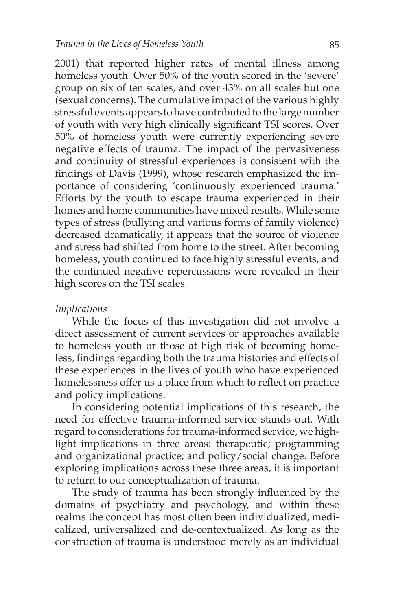2001) that reported higher rates of mental illness among homeless youth. Over 50% of the youth scored in the 'severe' group on six of ten scales, and over 43% on all scales but one (sexual concerns). The cumulative impact of the various highly stressful events appears to have contributed to the large number of youth with very high clinically significant TSI scores. Over 50% of homeless youth were currently experiencing severe negative effects of trauma. The impact of the pervasiveness and continuity of stressful experiences is consistent with the findings of Davis (1999), whose research emphasized the importance of considering 'continuously experienced trauma.' Efforts by the youth to escape trauma experienced in their homes and home communities have mixed results. While some types of stress (bullying and various forms of family violence) decreased dramatically, it appears that the source of violence and stress had shifted from home to the street. After becoming homeless, youth continued to face highly stressful events, and the continued negative repercussions were revealed in their high scores on the TSI scales.

#### *Implications*

While the focus of this investigation did not involve a direct assessment of current services or approaches available to homeless youth or those at high risk of becoming homeless, findings regarding both the trauma histories and effects of these experiences in the lives of youth who have experienced homelessness offer us a place from which to reflect on practice and policy implications.

In considering potential implications of this research, the need for effective trauma-informed service stands out. With regard to considerations for trauma-informed service, we highlight implications in three areas: therapeutic; programming and organizational practice; and policy/social change. Before exploring implications across these three areas, it is important to return to our conceptualization of trauma.

The study of trauma has been strongly influenced by the domains of psychiatry and psychology, and within these realms the concept has most often been individualized, medicalized, universalized and de-contextualized. As long as the construction of trauma is understood merely as an individual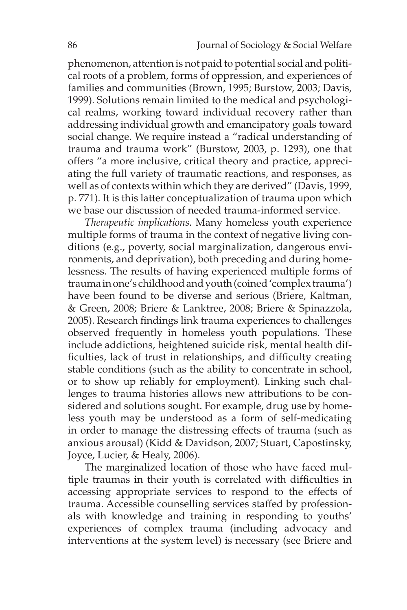phenomenon, attention is not paid to potential social and political roots of a problem, forms of oppression, and experiences of families and communities (Brown, 1995; Burstow, 2003; Davis, 1999). Solutions remain limited to the medical and psychological realms, working toward individual recovery rather than addressing individual growth and emancipatory goals toward social change. We require instead a "radical understanding of trauma and trauma work" (Burstow, 2003, p. 1293), one that offers "a more inclusive, critical theory and practice, appreciating the full variety of traumatic reactions, and responses, as well as of contexts within which they are derived" (Davis, 1999, p. 771). It is this latter conceptualization of trauma upon which we base our discussion of needed trauma-informed service.

*Therapeutic implications.* Many homeless youth experience multiple forms of trauma in the context of negative living conditions (e.g., poverty, social marginalization, dangerous environments, and deprivation), both preceding and during homelessness. The results of having experienced multiple forms of trauma in one's childhood and youth (coined 'complex trauma') have been found to be diverse and serious (Briere, Kaltman, & Green, 2008; Briere & Lanktree, 2008; Briere & Spinazzola, 2005). Research findings link trauma experiences to challenges observed frequently in homeless youth populations. These include addictions, heightened suicide risk, mental health difficulties, lack of trust in relationships, and difficulty creating stable conditions (such as the ability to concentrate in school, or to show up reliably for employment). Linking such challenges to trauma histories allows new attributions to be considered and solutions sought. For example, drug use by homeless youth may be understood as a form of self-medicating in order to manage the distressing effects of trauma (such as anxious arousal) (Kidd & Davidson, 2007; Stuart, Capostinsky, Joyce, Lucier, & Healy, 2006).

The marginalized location of those who have faced multiple traumas in their youth is correlated with difficulties in accessing appropriate services to respond to the effects of trauma. Accessible counselling services staffed by professionals with knowledge and training in responding to youths' experiences of complex trauma (including advocacy and interventions at the system level) is necessary (see Briere and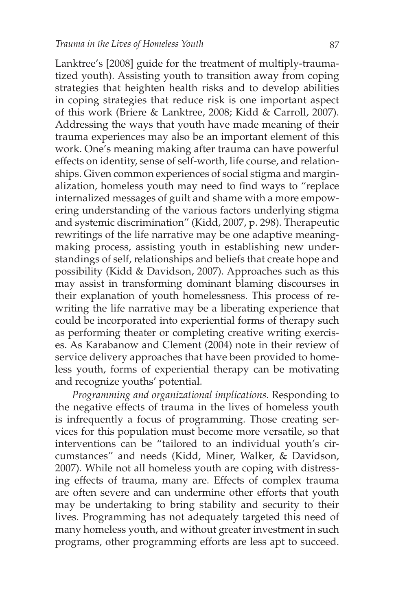Lanktree's [2008] guide for the treatment of multiply-traumatized youth). Assisting youth to transition away from coping strategies that heighten health risks and to develop abilities in coping strategies that reduce risk is one important aspect of this work (Briere & Lanktree, 2008; Kidd & Carroll, 2007). Addressing the ways that youth have made meaning of their trauma experiences may also be an important element of this work. One's meaning making after trauma can have powerful effects on identity, sense of self-worth, life course, and relationships. Given common experiences of social stigma and marginalization, homeless youth may need to find ways to "replace internalized messages of guilt and shame with a more empowering understanding of the various factors underlying stigma and systemic discrimination" (Kidd, 2007, p. 298). Therapeutic rewritings of the life narrative may be one adaptive meaningmaking process, assisting youth in establishing new understandings of self, relationships and beliefs that create hope and possibility (Kidd & Davidson, 2007). Approaches such as this may assist in transforming dominant blaming discourses in their explanation of youth homelessness. This process of rewriting the life narrative may be a liberating experience that could be incorporated into experiential forms of therapy such as performing theater or completing creative writing exercises. As Karabanow and Clement (2004) note in their review of service delivery approaches that have been provided to homeless youth, forms of experiential therapy can be motivating and recognize youths' potential.

*Programming and organizational implications.* Responding to the negative effects of trauma in the lives of homeless youth is infrequently a focus of programming. Those creating services for this population must become more versatile, so that interventions can be "tailored to an individual youth's circumstances" and needs (Kidd, Miner, Walker, & Davidson, 2007). While not all homeless youth are coping with distressing effects of trauma, many are. Effects of complex trauma are often severe and can undermine other efforts that youth may be undertaking to bring stability and security to their lives. Programming has not adequately targeted this need of many homeless youth, and without greater investment in such programs, other programming efforts are less apt to succeed.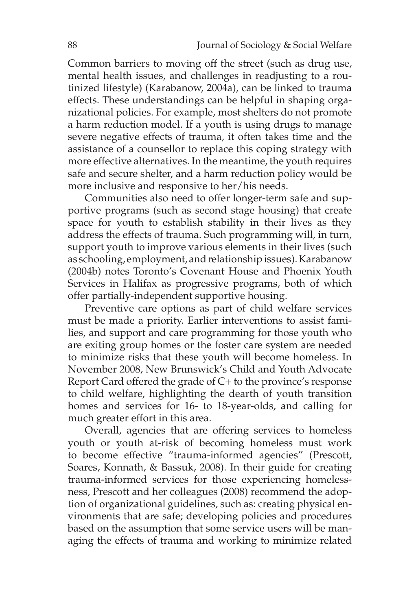Common barriers to moving off the street (such as drug use, mental health issues, and challenges in readjusting to a routinized lifestyle) (Karabanow, 2004a), can be linked to trauma effects. These understandings can be helpful in shaping organizational policies. For example, most shelters do not promote a harm reduction model. If a youth is using drugs to manage severe negative effects of trauma, it often takes time and the assistance of a counsellor to replace this coping strategy with more effective alternatives. In the meantime, the youth requires safe and secure shelter, and a harm reduction policy would be more inclusive and responsive to her/his needs.

Communities also need to offer longer-term safe and supportive programs (such as second stage housing) that create space for youth to establish stability in their lives as they address the effects of trauma. Such programming will, in turn, support youth to improve various elements in their lives (such as schooling, employment, and relationship issues). Karabanow (2004b) notes Toronto's Covenant House and Phoenix Youth Services in Halifax as progressive programs, both of which offer partially-independent supportive housing.

Preventive care options as part of child welfare services must be made a priority. Earlier interventions to assist families, and support and care programming for those youth who are exiting group homes or the foster care system are needed to minimize risks that these youth will become homeless. In November 2008, New Brunswick's Child and Youth Advocate Report Card offered the grade of C+ to the province's response to child welfare, highlighting the dearth of youth transition homes and services for 16- to 18-year-olds, and calling for much greater effort in this area.

Overall, agencies that are offering services to homeless youth or youth at-risk of becoming homeless must work to become effective "trauma-informed agencies" (Prescott, Soares, Konnath, & Bassuk, 2008). In their guide for creating trauma-informed services for those experiencing homelessness, Prescott and her colleagues (2008) recommend the adoption of organizational guidelines, such as: creating physical environments that are safe; developing policies and procedures based on the assumption that some service users will be managing the effects of trauma and working to minimize related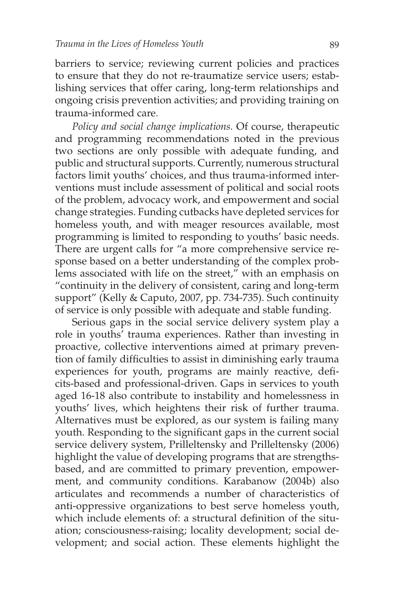barriers to service; reviewing current policies and practices to ensure that they do not re-traumatize service users; establishing services that offer caring, long-term relationships and ongoing crisis prevention activities; and providing training on trauma-informed care.

*Policy and social change implications.* Of course, therapeutic and programming recommendations noted in the previous two sections are only possible with adequate funding, and public and structural supports. Currently, numerous structural factors limit youths' choices, and thus trauma-informed interventions must include assessment of political and social roots of the problem, advocacy work, and empowerment and social change strategies. Funding cutbacks have depleted services for homeless youth, and with meager resources available, most programming is limited to responding to youths' basic needs. There are urgent calls for "a more comprehensive service response based on a better understanding of the complex problems associated with life on the street," with an emphasis on "continuity in the delivery of consistent, caring and long-term support" (Kelly & Caputo, 2007, pp. 734-735). Such continuity of service is only possible with adequate and stable funding.

Serious gaps in the social service delivery system play a role in youths' trauma experiences. Rather than investing in proactive, collective interventions aimed at primary prevention of family difficulties to assist in diminishing early trauma experiences for youth, programs are mainly reactive, deficits-based and professional-driven. Gaps in services to youth aged 16-18 also contribute to instability and homelessness in youths' lives, which heightens their risk of further trauma. Alternatives must be explored, as our system is failing many youth. Responding to the significant gaps in the current social service delivery system, Prilleltensky and Prilleltensky (2006) highlight the value of developing programs that are strengthsbased, and are committed to primary prevention, empowerment, and community conditions. Karabanow (2004b) also articulates and recommends a number of characteristics of anti-oppressive organizations to best serve homeless youth, which include elements of: a structural definition of the situation; consciousness-raising; locality development; social development; and social action. These elements highlight the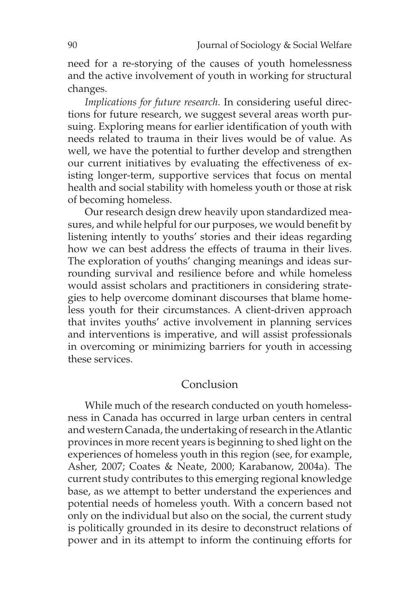need for a re-storying of the causes of youth homelessness and the active involvement of youth in working for structural changes.

*Implications for future research.* In considering useful directions for future research, we suggest several areas worth pursuing. Exploring means for earlier identification of youth with needs related to trauma in their lives would be of value. As well, we have the potential to further develop and strengthen our current initiatives by evaluating the effectiveness of existing longer-term, supportive services that focus on mental health and social stability with homeless youth or those at risk of becoming homeless.

Our research design drew heavily upon standardized measures, and while helpful for our purposes, we would benefit by listening intently to youths' stories and their ideas regarding how we can best address the effects of trauma in their lives. The exploration of youths' changing meanings and ideas surrounding survival and resilience before and while homeless would assist scholars and practitioners in considering strategies to help overcome dominant discourses that blame homeless youth for their circumstances. A client-driven approach that invites youths' active involvement in planning services and interventions is imperative, and will assist professionals in overcoming or minimizing barriers for youth in accessing these services.

## Conclusion

While much of the research conducted on youth homelessness in Canada has occurred in large urban centers in central and western Canada, the undertaking of research in the Atlantic provinces in more recent years is beginning to shed light on the experiences of homeless youth in this region (see, for example, Asher, 2007; Coates & Neate, 2000; Karabanow, 2004a). The current study contributes to this emerging regional knowledge base, as we attempt to better understand the experiences and potential needs of homeless youth. With a concern based not only on the individual but also on the social, the current study is politically grounded in its desire to deconstruct relations of power and in its attempt to inform the continuing efforts for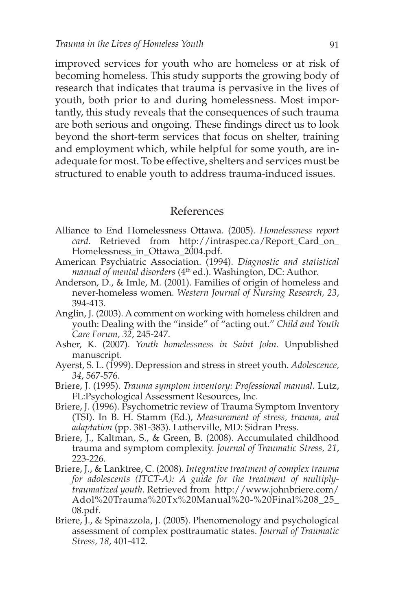improved services for youth who are homeless or at risk of becoming homeless. This study supports the growing body of research that indicates that trauma is pervasive in the lives of youth, both prior to and during homelessness. Most importantly, this study reveals that the consequences of such trauma are both serious and ongoing. These findings direct us to look beyond the short-term services that focus on shelter, training and employment which, while helpful for some youth, are inadequate for most. To be effective, shelters and services must be structured to enable youth to address trauma-induced issues.

#### References

- Alliance to End Homelessness Ottawa. (2005). *Homelessness report card*. Retrieved from http://intraspec.ca/Report\_Card\_on\_ Homelessness\_in\_Ottawa\_2004.pdf.
- American Psychiatric Association. (1994). *Diagnostic and statistical manual of mental disorders* (4<sup>th</sup> ed.). Washington, DC: Author.
- Anderson, D., & Imle, M. (2001). Families of origin of homeless and never-homeless women. *Western Journal of Nursing Research, 23*, 394-413.
- Anglin, J. (2003). A comment on working with homeless children and youth: Dealing with the "inside" of "acting out." *Child and Youth Care Forum, 32*, 245-247.
- Asher, K. (2007). *Youth homelessness in Saint John.* Unpublished manuscript.
- Ayerst, S. L. (1999). Depression and stress in street youth. *Adolescence, 34*, 567-576.
- Briere, J. (1995). *Trauma symptom inventory: Professional manual.* Lutz, FL:Psychological Assessment Resources, Inc.
- Briere, J. (1996). Psychometric review of Trauma Symptom Inventory (TSI). In B. H. Stamm (Ed.), *Measurement of stress, trauma, and adaptation* (pp. 381-383). Lutherville, MD: Sidran Press.
- Briere, J., Kaltman, S., & Green, B. (2008). Accumulated childhood trauma and symptom complexity. *Journal of Traumatic Stress, 21*, 223-226.
- Briere, J., & Lanktree, C. (2008). *Integrative treatment of complex trauma for adolescents (ITCT-A): A guide for the treatment of multiplytraumatized youth*. Retrieved from http://www.johnbriere.com/ Adol%20Trauma%20Tx%20Manual%20-%20Final%208\_25\_ 08.pdf.
- Briere, J., & Spinazzola, J. (2005). Phenomenology and psychological assessment of complex posttraumatic states. *Journal of Traumatic Stress, 18*, 401-412.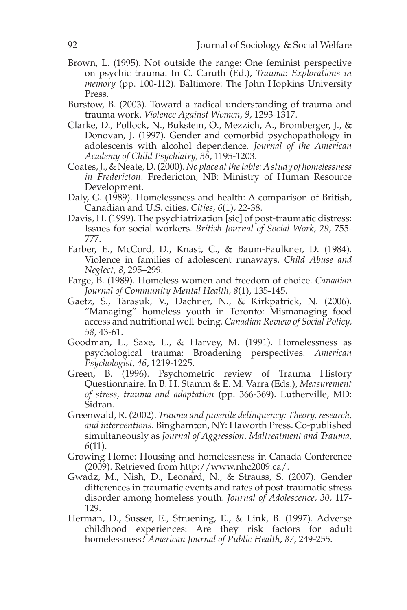- Brown, L. (1995). Not outside the range: One feminist perspective on psychic trauma. In C. Caruth (Ed.), *Trauma: Explorations in memory* (pp. 100-112). Baltimore: The John Hopkins University Press.
- Burstow, B. (2003). Toward a radical understanding of trauma and trauma work. *Violence Against Women, 9*, 1293-1317.
- Clarke, D., Pollock, N., Bukstein, O., Mezzich, A., Bromberger, J., & Donovan, J. (1997). Gender and comorbid psychopathology in adolescents with alcohol dependence. *Journal of the American Academy of Child Psychiatry, 36*, 1195-1203.
- Coates, J., & Neate, D. (2000). *No place at the table: A study of homelessness in Fredericton*. Fredericton, NB: Ministry of Human Resource Development.
- Daly, G. (1989). Homelessness and health: A comparison of British, Canadian and U.S. cities. *Cities, 6*(1), 22-38.
- Davis, H. (1999). The psychiatrization [sic] of post-traumatic distress: Issues for social workers. *British Journal of Social Work, 29,* 755- 777.
- Farber, E., McCord, D., Knast, C., & Baum-Faulkner, D. (1984). Violence in families of adolescent runaways. *Child Abuse and Neglect, 8*, 295–299.
- Farge, B. (1989). Homeless women and freedom of choice. *Canadian Journal of Community Mental Health, 8*(1), 135-145.
- Gaetz, S., Tarasuk, V., Dachner, N., & Kirkpatrick, N. (2006). "Managing" homeless youth in Toronto: Mismanaging food access and nutritional well-being. *Canadian Review of Social Policy, 58*, 43-61.
- Goodman, L., Saxe, L., & Harvey, M. (1991). Homelessness as psychological trauma: Broadening perspectives. *American Psychologist, 46*, 1219-1225.
- Green, B. (1996). Psychometric review of Trauma History Questionnaire. In B. H. Stamm & E. M. Varra (Eds.), *Measurement of stress, trauma and adaptation* (pp. 366-369). Lutherville, MD: Sidran.
- Greenwald, R. (2002). *Trauma and juvenile delinquency: Theory, research, and interventions*. Binghamton, NY: Haworth Press. Co-published simultaneously as *Journal of Aggression, Maltreatment and Trauma, 6*(11).
- Growing Home: Housing and homelessness in Canada Conference (2009). Retrieved from http://www.nhc2009.ca/.
- Gwadz, M., Nish, D., Leonard, N., & Strauss, S. (2007). Gender differences in traumatic events and rates of post-traumatic stress disorder among homeless youth. *Journal of Adolescence, 30,* 117- 129.
- Herman, D., Susser, E., Struening, E., & Link, B. (1997). Adverse childhood experiences: Are they risk factors for adult homelessness? *American Journal of Public Health*, *87*, 249-255.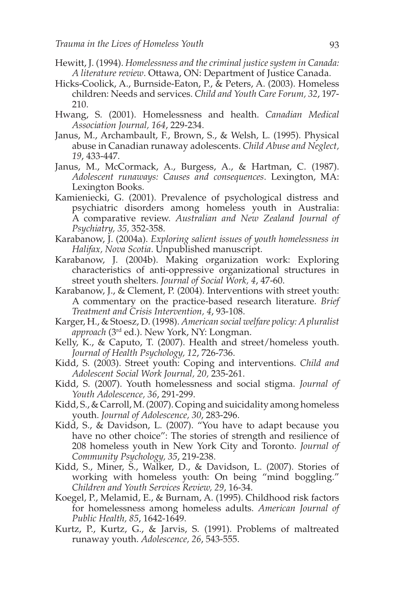- Hewitt, J. (1994). *Homelessness and the criminal justice system in Canada: A literature review*. Ottawa, ON: Department of Justice Canada.
- Hicks-Coolick, A., Burnside-Eaton, P., & Peters, A. (2003). Homeless children: Needs and services. *Child and Youth Care Forum, 32*, 197- 210.
- Hwang, S. (2001). Homelessness and health. *Canadian Medical Association Journal, 164*, 229-234.
- Janus, M., Archambault, F., Brown, S., & Welsh, L. (1995). Physical abuse in Canadian runaway adolescents. *Child Abuse and Neglect, 19*, 433-447.
- Janus, M., McCormack, A., Burgess, A., & Hartman, C. (1987). *Adolescent runaways: Causes and consequences*. Lexington, MA: Lexington Books.
- Kamieniecki, G. (2001). Prevalence of psychological distress and psychiatric disorders among homeless youth in Australia: A comparative review. *Australian and New Zealand Journal of Psychiatry, 35,* 352-358.
- Karabanow, J. (2004a). *Exploring salient issues of youth homelessness in Halifax, Nova Scotia*. Unpublished manuscript.
- Karabanow, J. (2004b). Making organization work: Exploring characteristics of anti-oppressive organizational structures in street youth shelters. *Journal of Social Work, 4*, 47-60.
- Karabanow, J., & Clement, P. (2004). Interventions with street youth: A commentary on the practice-based research literature. *Brief Treatment and Crisis Intervention, 4*, 93-108.
- Karger, H., & Stoesz, D. (1998). *American social welfare policy: A pluralist approach* (3rd ed.). New York, NY: Longman.
- Kelly, K., & Caputo, T. (2007). Health and street/homeless youth. *Journal of Health Psychology, 12*, 726-736.
- Kidd, S. (2003). Street youth: Coping and interventions. *Child and Adolescent Social Work Journal, 20,* 235-261.
- Kidd, S. (2007). Youth homelessness and social stigma. *Journal of Youth Adolescence, 36*, 291-299.
- Kidd, S., & Carroll, M. (2007). Coping and suicidality among homeless youth. *Journal of Adolescence, 30*, 283-296.
- Kidd, S., & Davidson, L. (2007). "You have to adapt because you have no other choice": The stories of strength and resilience of 208 homeless youth in New York City and Toronto. *Journal of Community Psychology, 35*, 219-238.
- Kidd, S., Miner, S., Walker, D., & Davidson, L. (2007). Stories of working with homeless youth: On being "mind boggling." *Children and Youth Services Review, 29*, 16-34.
- Koegel, P., Melamid, E., & Burnam, A. (1995). Childhood risk factors for homelessness among homeless adults. *American Journal of Public Health, 85*, 1642-1649.
- Kurtz, P., Kurtz, G., & Jarvis, S. (1991). Problems of maltreated runaway youth. *Adolescence, 26*, 543-555.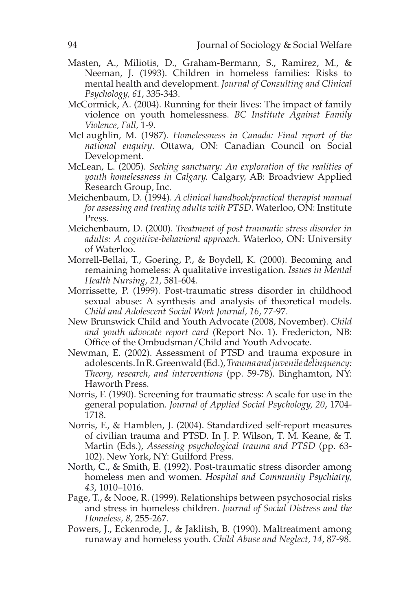- Masten, A., Miliotis, D., Graham-Bermann, S., Ramirez, M., & Neeman, J. (1993). Children in homeless families: Risks to mental health and development. *Journal of Consulting and Clinical Psychology, 61*, 335-343.
- McCormick, A. (2004). Running for their lives: The impact of family violence on youth homelessness. *BC Institute Against Family Violence, Fall,* 1-9.
- McLaughlin, M. (1987). *Homelessness in Canada: Final report of the national enquiry*. Ottawa, ON: Canadian Council on Social Development.
- McLean, L. (2005). *Seeking sanctuary: An exploration of the realities of youth homelessness in Calgary.* Calgary, AB: Broadview Applied Research Group, Inc.
- Meichenbaum, D. (1994). *A clinical handbook/practical therapist manual for assessing and treating adults with PTSD*. Waterloo, ON: Institute Press.
- Meichenbaum, D. (2000). *Treatment of post traumatic stress disorder in adults: A cognitive-behavioral approach*. Waterloo, ON: University of Waterloo.
- Morrell-Bellai, T., Goering, P., & Boydell, K. (2000). Becoming and remaining homeless: A qualitative investigation. *Issues in Mental Health Nursing, 21,* 581-604.
- Morrissette, P. (1999). Post-traumatic stress disorder in childhood sexual abuse: A synthesis and analysis of theoretical models. *Child and Adolescent Social Work Journal, 16*, 77-97.
- New Brunswick Child and Youth Advocate (2008, November). *Child and youth advocate report card* (Report No. 1). Fredericton, NB: Office of the Ombudsman/Child and Youth Advocate.
- Newman, E. (2002). Assessment of PTSD and trauma exposure in adolescents. In R. Greenwald (Ed.), *Trauma and juvenile delinquency: Theory, research, and interventions* (pp. 59-78). Binghamton, NY: Haworth Press.
- Norris, F. (1990). Screening for traumatic stress: A scale for use in the general population. *Journal of Applied Social Psychology, 20*, 1704- 1718.
- Norris, F., & Hamblen, J. (2004). Standardized self-report measures of civilian trauma and PTSD. In J. P. Wilson, T. M. Keane, & T. Martin (Eds.), *Assessing psychological trauma and PTSD* (pp. 63- 102). New York, NY: Guilford Press.
- North, C., & Smith, E. (1992). Post-traumatic stress disorder among homeless men and women. *Hospital and Community Psychiatry, 43*, 1010–1016.
- Page, T., & Nooe, R. (1999). Relationships between psychosocial risks and stress in homeless children. *Journal of Social Distress and the Homeless, 8,* 255-267.
- Powers, J., Eckenrode, J., & Jaklitsh, B. (1990). Maltreatment among runaway and homeless youth. *Child Abuse and Neglect, 14*, 87-98.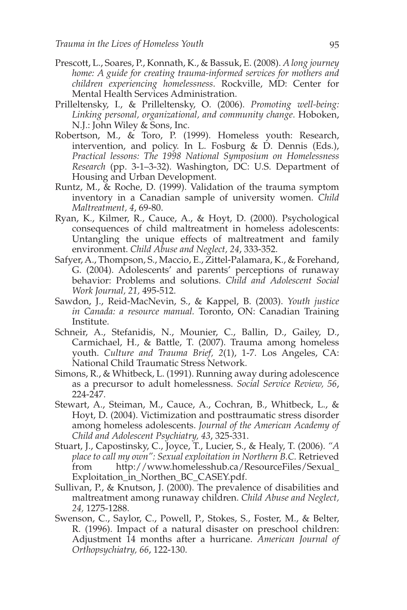- Prescott, L., Soares, P., Konnath, K., & Bassuk, E. (2008). *A long journey home: A guide for creating trauma-informed services for mothers and children experiencing homelessness*. Rockville, MD: Center for Mental Health Services Administration.
- Prilleltensky, I., & Prilleltensky, O. (2006). *Promoting well-being: Linking personal, organizational, and community change*. Hoboken, N.J.: John Wiley & Sons, Inc.
- Robertson, M., & Toro, P. (1999). Homeless youth: Research, intervention, and policy. In L. Fosburg & D. Dennis (Eds.), *Practical lessons: The 1998 National Symposium on Homelessness Research* (pp. 3-1–3-32). Washington, DC: U.S. Department of Housing and Urban Development.
- Runtz, M., & Roche, D. (1999). Validation of the trauma symptom inventory in a Canadian sample of university women. *Child Maltreatment, 4*, 69-80.
- Ryan, K., Kilmer, R., Cauce, A., & Hoyt, D. (2000). Psychological consequences of child maltreatment in homeless adolescents: Untangling the unique effects of maltreatment and family environment. *Child Abuse and Neglect, 24*, 333-352.
- Safyer, A., Thompson, S., Maccio, E., Zittel-Palamara, K., & Forehand, G. (2004). Adolescents' and parents' perceptions of runaway behavior: Problems and solutions. *Child and Adolescent Social Work Journal, 21,* 495-512.
- Sawdon, J., Reid-MacNevin, S., & Kappel, B. (2003). *Youth justice in Canada: a resource manual.* Toronto, ON: Canadian Training Institute.
- Schneir, A., Stefanidis, N., Mounier, C., Ballin, D., Gailey, D., Carmichael, H., & Battle, T. (2007). Trauma among homeless youth. *Culture and Trauma Brief, 2*(1), 1-7. Los Angeles, CA: National Child Traumatic Stress Network.
- Simons, R., & Whitbeck, L. (1991). Running away during adolescence as a precursor to adult homelessness. *Social Service Review, 56*, 224-247.
- Stewart, A., Steiman, M., Cauce, A., Cochran, B., Whitbeck, L., & Hoyt, D. (2004). Victimization and posttraumatic stress disorder among homeless adolescents. *Journal of the American Academy of Child and Adolescent Psychiatry, 43*, 325-331.
- Stuart, J., Capostinsky, C., Joyce, T., Lucier, S., & Healy, T. (2006). *"A place to call my own": Sexual exploitation in Northern B.C.* Retrieved from http://www.homelesshub.ca/ResourceFiles/Sexual\_ Exploitation\_in\_Northen\_BC\_CASEY.pdf.
- Sullivan, P., & Knutson, J. (2000). The prevalence of disabilities and maltreatment among runaway children. *Child Abuse and Neglect, 24,* 1275-1288.
- Swenson, C., Saylor, C., Powell, P., Stokes, S., Foster, M., & Belter, R. (1996). Impact of a natural disaster on preschool children: Adjustment 14 months after a hurricane. *American Journal of Orthopsychiatry, 66*, 122-130.